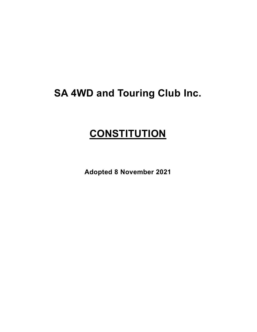# **SA 4WD and Touring Club Inc.**

# **CONSTITUTION**

**Adopted 8 November 2021**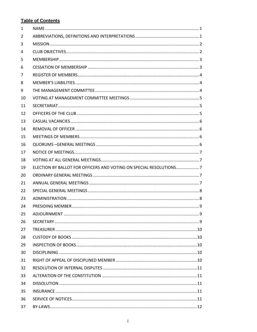# **Table of Contents**

<span id="page-1-0"></span>

| $\mathbf{1}$ |                                                                    |   |
|--------------|--------------------------------------------------------------------|---|
| 2            |                                                                    |   |
| 3            |                                                                    |   |
| 4            |                                                                    |   |
| 5            |                                                                    |   |
| 6            |                                                                    |   |
| 7            |                                                                    |   |
| 8            |                                                                    |   |
| 9            |                                                                    |   |
| 10           |                                                                    |   |
| 11           |                                                                    |   |
| 12           |                                                                    |   |
| 13           |                                                                    |   |
| 14           |                                                                    |   |
| 15           |                                                                    |   |
| 16           |                                                                    |   |
| 17           |                                                                    |   |
| 18           |                                                                    |   |
| 19           | ELECTION BY BALLOT FOR OFFICERS AND VOTING ON SPECIAL RESOLUTIONS7 |   |
| 20           |                                                                    |   |
| 21           |                                                                    |   |
| 22           |                                                                    |   |
| 23           |                                                                    |   |
| 24           |                                                                    |   |
| 25           | ADIOURNMENT                                                        | 9 |
| 26           |                                                                    |   |
| 27           |                                                                    |   |
| 28           |                                                                    |   |
| 29           |                                                                    |   |
| 30           |                                                                    |   |
| 31           |                                                                    |   |
| 32           |                                                                    |   |
| 33           |                                                                    |   |
| 34           |                                                                    |   |
| 35           |                                                                    |   |
| 36           |                                                                    |   |
| 37           |                                                                    |   |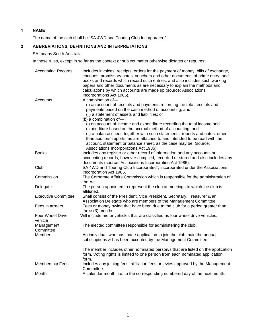# **1 NAME**

The name of the club shall be "SA 4WD and Touring Club Incorporated".

# <span id="page-2-0"></span>**2 ABBREVIATIONS, DEFINITIONS AND INTERPRETATIONS**

# SA means South Australia

In these rules, except in so far as the context or subject matter otherwise dictates or requires:

| <b>Accounting Records</b>   | Includes invoices, receipts, orders for the payment of money, bills of exchange,<br>cheques, promissory notes, vouchers and other documents of prime entry, and<br>books and records which record such entries, and also includes such working<br>papers and other documents as are necessary to explain the methods and<br>calculations by which accounts are made up (source: Associations<br>Incorporations Act 1985). |
|-----------------------------|---------------------------------------------------------------------------------------------------------------------------------------------------------------------------------------------------------------------------------------------------------------------------------------------------------------------------------------------------------------------------------------------------------------------------|
| Accounts                    | A combination of-<br>(i) an account of receipts and payments recording the total receipts and<br>payments based on the cash method of accounting; and<br>(ii) a statement of assets and liabilities; or<br>(b) a combination of-                                                                                                                                                                                          |
|                             | (i) an account of income and expenditure recording the total income and<br>expenditure based on the accrual method of accounting; and<br>(ii) a balance sheet, together with such statements, reports and notes, other<br>than auditors' reports, as are attached to and intended to be read with the<br>account, statement or balance sheet, as the case may be; (source:                                                |
|                             | Associations Incorporations Act 1985).                                                                                                                                                                                                                                                                                                                                                                                    |
| <b>Books</b>                | Includes any register or other record of information and any accounts or<br>accounting records, however compiled, recorded or stored and also includes any<br>documents (source: Associations Incorporation Act 1985).                                                                                                                                                                                                    |
| Club                        | SA 4WD and Touring Club Incorporated", incorporated under the Associations<br>Incorporation Act 1985.                                                                                                                                                                                                                                                                                                                     |
| Commission                  | The Corporate Affairs Commission which is responsible for the administration of<br>the Act.                                                                                                                                                                                                                                                                                                                               |
| Delegate                    | The person appointed to represent the club at meetings to which the club is<br>affiliated.                                                                                                                                                                                                                                                                                                                                |
| <b>Executive Committee</b>  | Shall consist of the President, Vice President, Secretary, Treasurer & an<br>Association Delegate who are members of the Management Committee.                                                                                                                                                                                                                                                                            |
| Fees in arrears             | Fees or money owing that have been due to the club for a period greater than<br>three (3) months.                                                                                                                                                                                                                                                                                                                         |
| Four Wheel Drive<br>vehicle | Will include motor vehicles that are classified as four wheel drive vehicles.                                                                                                                                                                                                                                                                                                                                             |
| Management<br>Committee     | The elected committee responsible for administering the club.                                                                                                                                                                                                                                                                                                                                                             |
| Member                      | An individual, who has made application to join the club, paid the annual<br>subscriptions & has been accepted by the Management Committee.                                                                                                                                                                                                                                                                               |
|                             | The member includes other nominated person/s that are listed on the application<br>form. Voting rights is limited to one person from each nominated application<br>form.                                                                                                                                                                                                                                                  |
| <b>Membership Fees</b>      | Includes any joining fees, affiliation fees or levies approved by the Management<br>Committee.                                                                                                                                                                                                                                                                                                                            |
| Month                       | A calendar month, i.e. to the corresponding numbered day of the next month.                                                                                                                                                                                                                                                                                                                                               |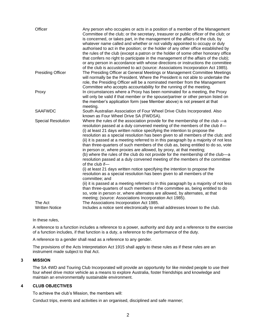| that confers no right to participate in the management of the affairs of the club);<br>or any person in accordance with whose directions or instructions the committee                                                                                                                                                                                                                                                                                                                                                                                                                                                                                                                                                                                                                                                                                                                                                                                                                                                                                                                                                                                                                                                                                                                                    |
|-----------------------------------------------------------------------------------------------------------------------------------------------------------------------------------------------------------------------------------------------------------------------------------------------------------------------------------------------------------------------------------------------------------------------------------------------------------------------------------------------------------------------------------------------------------------------------------------------------------------------------------------------------------------------------------------------------------------------------------------------------------------------------------------------------------------------------------------------------------------------------------------------------------------------------------------------------------------------------------------------------------------------------------------------------------------------------------------------------------------------------------------------------------------------------------------------------------------------------------------------------------------------------------------------------------|
| of the club is accustomed to act (source: Associations Incorporation Act 1985).<br><b>Presiding Officer</b><br>The Presiding Officer at General Meetings or Management Committee Meetings<br>will normally be the President. Where the President is not able to undertake the<br>role, the Presiding Officer will be a nominated member from the Management<br>Committee who accepts accountability for the running of the meeting.                                                                                                                                                                                                                                                                                                                                                                                                                                                                                                                                                                                                                                                                                                                                                                                                                                                                       |
| In circumstances where a Proxy has been nominated for a meeting, the Proxy<br>Proxy<br>will only be valid if that member or the spouse/partner or other person listed on<br>the member's application form (see Member above) is not present at that<br>meeting.                                                                                                                                                                                                                                                                                                                                                                                                                                                                                                                                                                                                                                                                                                                                                                                                                                                                                                                                                                                                                                           |
| <b>SAAFWDC</b><br>South Australian Association of Four Wheel Drive Clubs Incorporated. Also<br>known as Four Wheel Drive SA (FWDSA).                                                                                                                                                                                                                                                                                                                                                                                                                                                                                                                                                                                                                                                                                                                                                                                                                                                                                                                                                                                                                                                                                                                                                                      |
| <b>Special Resolution</b><br>Where the rules of the association provide for the membership of the club -a<br>resolution passed at a duly convened meeting of the members of the club if-<br>(i) at least 21 days written notice specifying the intention to propose the<br>resolution as a special resolution has been given to all members of the club; and<br>(ii) it is passed at a meeting referred to in this paragraph by a majority of not less<br>than three-quarters of such members of the club as, being entitled to do so, vote<br>in person or, where proxies are allowed, by proxy, at that meeting;<br>(b) where the rules of the club do not provide for the membership of the club-a<br>resolution passed at a duly convened meeting of the members of the committee<br>of the club if-<br>(i) at least 21 days written notice specifying the intention to propose the<br>resolution as a special resolution has been given to all members of the<br>committee; and<br>(ii) it is passed at a meeting referred to in this paragraph by a majority of not less<br>than three-quarters of such members of the committee as, being entitled to do<br>so, vote in person or, where alternates are allowed, by alternates, at that<br>meeting; (source: Associations Incorporation Act 1985). |
| The Associations Incorporation Act 1985.<br>The Act<br><b>Written Notice</b><br>Includes a notice sent electronically to email addresses known to the club.                                                                                                                                                                                                                                                                                                                                                                                                                                                                                                                                                                                                                                                                                                                                                                                                                                                                                                                                                                                                                                                                                                                                               |

In these rules,

A reference to a function includes a reference to a power, authority and duty and a reference to the exercise of a function includes, if that function is a duty, a reference to the performance of the duty.

A reference to a gender shall read as a reference to any gender.

The provisions of the Acts Interpretation Act 1915 shall apply to these rules as if these rules are an instrument made subject to that Act.

## <span id="page-3-0"></span>**3 MISSION**

The SA 4WD and Touring Club Incorporated will provide an opportunity for like minded people to use their four wheel drive motor vehicle as a means to explore Australia, foster friendships and knowledge and maintain an environmentally sustainable environment.

# <span id="page-3-1"></span>**4 CLUB OBJECTIVES**

To achieve the club's Mission, the members will:

Conduct trips, events and activities in an organised, disciplined and safe manner;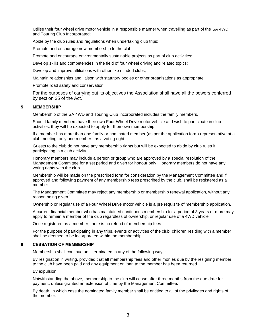Utilise their four wheel drive motor vehicle in a responsible manner when travelling as part of the SA 4WD and Touring Club Incorporated;

Abide by the club rules and regulations when undertaking club trips;

Promote and encourage new membership to the club;

Promote and encourage environmentally sustainable projects as part of club activities;

Develop skills and competencies in the field of four wheel driving and related topics;

Develop and improve affiliations with other like minded clubs;

Maintain relationships and liaison with statutory bodies or other organisations as appropriate;

Promote road safety and conservation

For the purposes of carrying out its objectives the Association shall have all the powers conferred by section 25 of the Act.

# <span id="page-4-0"></span>**5 MEMBERSHIP**

Membership of the SA 4WD and Touring Club Incorporated includes the family members.

Should family members have their own Four Wheel Drive motor vehicle and wish to participate in club activities, they will be expected to apply for their own membership.

If a member has more than one family or nominated member (as per the application form) representative at a club meeting, only one member has a voting right.

Guests to the club do not have any membership rights but will be expected to abide by club rules if participating in a club activity.

Honorary members may include a person or group who are approved by a special resolution of the Management Committee for a set period and given for honour only. Honorary members do not have any voting rights with the club.

Membership will be made on the prescribed form for consideration by the Management Committee and if approved and following payment of any membership fees prescribed by the club, shall be registered as a member.

The Management Committee may reject any membership or membership renewal application, without any reason being given.`

Ownership or regular use of a Four Wheel Drive motor vehicle is a pre requisite of membership application.

A current financial member who has maintained continuous membership for a period of 3 years or more may apply to remain a member of the club regardless of ownership, or regular use of a 4WD vehicle.

Once registered as a member, there is no refund of membership fees.

For the purpose of participating in any trips, events or activities of the club, children residing with a member shall be deemed to be incorporated within the membership.

#### <span id="page-4-1"></span>**6 CESSATION OF MEMBERSHIP**

Membership shall continue until terminated in any of the following ways:

By resignation in writing, provided that all membership fees and other monies due by the resigning member to the club have been paid and any equipment on loan to the member has been returned.

By expulsion.

Notwithstanding the above, membership to the club will cease after three months from the due date for payment, unless granted an extension of time by the Management Committee.

By death, in which case the nominated family member shall be entitled to all of the privileges and rights of the member.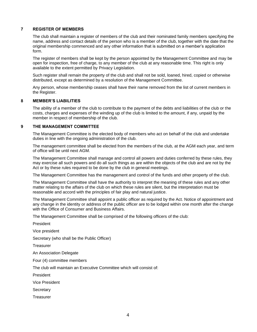### <span id="page-5-0"></span>**7 REGISTER OF MEMBERS**

The club shall maintain a register of members of the club and their nominated family members specifying the name, address and contact details of the person who is a member of the club, together with the date that the original membership commenced and any other information that is submitted on a member's application form.

The register of members shall be kept by the person appointed by the Management Committee and may be open for inspection, free of charge, to any member of the club at any reasonable time. This right is only available to the extent permitted by Privacy Legislation.

Such register shall remain the property of the club and shall not be sold, loaned, hired, copied or otherwise distributed, except as determined by a resolution of the Management Committee.

Any person, whose membership ceases shall have their name removed from the list of current members in the Register.

#### <span id="page-5-1"></span>**8 MEMBER'S LIABILITIES**

The ability of a member of the club to contribute to the payment of the debts and liabilities of the club or the costs, charges and expenses of the winding up of the club is limited to the amount, if any, unpaid by the member in respect of membership of the club.

# <span id="page-5-2"></span>**9 THE MANAGEMENT COMMITTEE**

The Management Committee is the elected body of members who act on behalf of the club and undertake duties in line with the ongoing administration of the club.

The management committee shall be elected from the members of the club, at the AGM each year, and term of office will be until next AGM.

The Management Committee shall manage and control all powers and duties conferred by these rules, they may exercise all such powers and do all such things as are within the objects of the club and are not by the Act or by these rules required to be done by the club in general meetings.

The Management Committee has the management and control of the funds and other property of the club.

The Management Committee shall have the authority to interpret the meaning of these rules and any other matter relating to the affairs of the club on which these rules are silent, but the interpretation must be reasonable and accord with the principles of fair play and natural justice.

The Management Committee shall appoint a public officer as required by the Act. Notice of appointment and any change in the identity or address of the public officer are to be lodged within one month after the change with the Office of Consumer and Business Affairs.

The Management Committee shall be comprised of the following officers of the club:

President

Vice president

Secretary (who shall be the Public Officer)

**Treasurer** 

An Association Delegate

Four (4) committee members

The club will maintain an Executive Committee which will consist of:

President

Vice President

**Secretary** 

**Treasurer**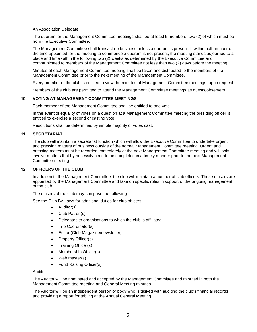An Association Delegate.

The quorum for the Management Committee meetings shall be at least 5 members, two (2) of which must be from the Executive Committee.

The Management Committee shall transact no business unless a quorum is present. If within half an hour of the time appointed for the meeting to commence a quorum is not present, the meeting stands adjourned to a place and time within the following two (2) weeks as determined by the Executive Committee and communicated to members of the Management Committee not less than two (2) days before the meeting.

Minutes of each Management Committee meeting shall be taken and distributed to the members of the Management Committee prior to the next meeting of the Management Committee.

Every member of the club is entitled to view the minutes of Management Committee meetings, upon request.

Members of the club are permitted to attend the Management Committee meetings as guests/observers.

#### <span id="page-6-0"></span>**10 VOTING AT MANAGEMENT COMMITTEE MEETINGS**

Each member of the Management Committee shall be entitled to one vote.

In the event of equality of votes on a question at a Management Committee meeting the presiding officer is entitled to exercise a second or casting vote.

Resolutions shall be determined by simple majority of votes cast.

# <span id="page-6-1"></span>**11 SECRETARIAT**

The club will maintain a secretariat function which will allow the Executive Committee to undertake urgent and pressing matters of business outside of the normal Management Committee meeting. Urgent and pressing matters must be recorded immediately at the next Management Committee meeting and will only involve matters that by necessity need to be completed in a timely manner prior to the next Management Committee meeting.

#### <span id="page-6-2"></span>**12 OFFICERS OF THE CLUB**

In addition to the Management Committee, the club will maintain a number of club officers. These officers are appointed by the Management Committee and take on specific roles in support of the ongoing management of the club.

The officers of the club may comprise the following:

See the Club By-Laws for additional duties for club officers

- Auditor(s)
- Club Patron(s)
- Delegates to organisations to which the club is affiliated
- Trip Coordinator(s)
- Editor (Club Magazine/newsletter)
- Property Officer(s)
- Training Officer(s)
- Membership Officer(s)
- Web master(s)
- Fund Raising Officer(s)

#### Auditor

The Auditor will be nominated and accepted by the Management Committee and minuted in both the Management Committee meeting and General Meeting minutes.

The Auditor will be an independent person or body who is tasked with auditing the club's financial records and providing a report for tabling at the Annual General Meeting.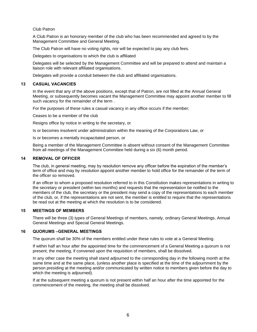#### Club Patron

A Club Patron is an honorary member of the club who has been recommended and agreed to by the Management Committee and General Meeting.

The Club Patron will have no voting rights, nor will be expected to pay any club fees.

Delegates to organisations to which the club is affiliated

Delegates will be selected by the Management Committee and will be prepared to attend and maintain a liaison role with relevant affiliated organisations.

Delegates will provide a conduit between the club and affiliated organisations.

#### <span id="page-7-0"></span>**13 CASUAL VACANCIES**

In the event that any of the above positions, except that of Patron, are not filled at the Annual General Meeting, or subsequently becomes vacant the Management Committee may appoint another member to fill such vacancy for the remainder of the term .

For the purposes of these rules a casual vacancy in any office occurs if the member;

Ceases to be a member of the club

Resigns office by notice in writing to the secretary, or

Is or becomes insolvent under administration within the meaning of the Corporations Law, or

Is or becomes a mentally incapacitated person, or

Being a member of the Management Committee is absent without consent of the Management Committee from all meetings of the Management Committee held during a six (6) month period.

#### <span id="page-7-1"></span>**14 REMOVAL OF OFFICER**

The club, in general meeting, may by resolution remove any officer before the expiration of the member's term of office and may by resolution appoint another member to hold office for the remainder of the term of the officer so removed.

If an officer to whom a proposed resolution referred to in this Constitution makes representations in writing to the secretary or president (within two months) and requests that the representation be notified to the members of the club, the secretary or the president may send a copy of the representations to each member of the club, or, if the representations are not sent, the member is entitled to require that the representations be read out at the meeting at which the resolution is to be considered.

# <span id="page-7-2"></span>**15 MEETINGS OF MEMBERS**

There will be three (3) types of General Meetings of members, namely, ordinary General Meetings, Annual General Meetings and Special General Meetings.

#### <span id="page-7-3"></span>**16 QUORUMS –GENERAL MEETINGS**

The quorum shall be 30% of the members entitled under these rules to vote at a General Meeting.

If within half an hour after the appointed time for the commencement of a General Meeting a quorum is not present, the meeting, if convened upon the requisition of members, shall be dissolved.

In any other case the meeting shall stand adjourned to the corresponding day in the following month at the same time and at the same place, (unless another place is specified at the time of the adjournment by the person presiding at the meeting and/or communicated by written notice to members given before the day to which the meeting is adjourned).

If at the subsequent meeting a quorum is not present within half an hour after the time appointed for the commencement of the meeting, the meeting shall be dissolved.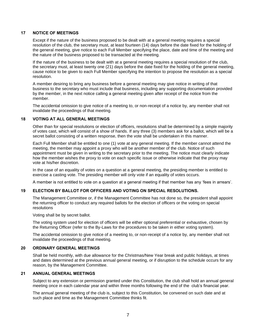### <span id="page-8-0"></span>**17 NOTICE OF MEETINGS**

Except if the nature of the business proposed to be dealt with at a general meeting requires a special resolution of the club, the secretary must, at least fourteen (14) days before the date fixed for the holding of the general meeting, give notice to each Full Member specifying the place, date and time of the meeting and the nature of the business proposed to be transacted at the meeting.

If the nature of the business to be dealt with at a general meeting requires a special resolution of the club, the secretary must, at least twenty one (21) days before the date fixed for the holding of the general meeting, cause notice to be given to each Full Member specifying the intention to propose the resolution as a special resolution.

A member desiring to bring any business before a general meeting may give notice in writing of that business to the secretary who must include that business, including any supporting documentation provided by the member, in the next notice calling a general meeting given after receipt of the notice from the member.

The accidental omission to give notice of a meeting to, or non-receipt of a notice by, any member shall not invalidate the proceedings of that meeting.

#### <span id="page-8-1"></span>**18 VOTING AT ALL GENERAL MEETINGS**

Other than for special resolutions or election of officers, resolutions shall be determined by a simple majority of votes cast, which will consist of a show of hands. If any three (3) members ask for a ballot, which will be a secret ballot consisting of a written response, then the vote shall be undertaken in this manner.

Each Full Member shall be entitled to one (1) vote at any general meeting. If the member cannot attend the meeting, the member may appoint a proxy who will be another member of the club. Notice of such appointment must be given in writing to the secretary prior to the meeting. The notice must clearly indicate how the member wishes the proxy to vote on each specific issue or otherwise indicate that the proxy may vote at his/her discretion.

In the case of an equality of votes on a question at a general meeting, the presiding member is entitled to exercise a casting vote. The presiding member will only vote if an equality of votes occurs.

A member is not entitled to vote on a question at a general meeting if that member has any 'fees in arrears'.

#### <span id="page-8-2"></span>**19 ELECTION BY BALLOT FOR OFFICERS AND VOTING ON SPECIAL RESOLUTIONS.**

The Management Committee or, if the Management Committee has not done so, the president shall appoint the returning officer to conduct any required ballots for the election of officers or the voting on special resolutions

Voting shall be by secret ballot.

The voting system used for election of officers will be either optional preferential or exhaustive, chosen by the Returning Officer (refer to the By-Laws for the procedures to be taken in either voting system).

The accidental omission to give notice of a meeting to, or non-receipt of a notice by, any member shall not invalidate the proceedings of that meeting.

#### <span id="page-8-3"></span>**20 ORDINARY GENERAL MEETINGS**

Shall be held monthly, with due allowance for the Christmas/New Year break and public holidays, at times and dates determined at the previous annual general meeting, or if disruption to the schedule occurs for any reason, by the Management Committee.

#### <span id="page-8-4"></span>**21 ANNUAL GENERAL MEETINGS**

Subject to any extension or permission granted under this Constitution, the club shall hold an annual general meeting once in each calendar year and within three months following the end of the club's financial year.

The annual general meeting of the club is, subject to this Constitution, be convened on such date and at such place and time as the Management Committee thinks fit.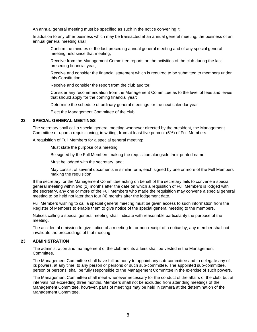An annual general meeting must be specified as such in the notice convening it.

In addition to any other business which may be transacted at an annual general meeting, the business of an annual general meeting shall:

Confirm the minutes of the last preceding annual general meeting and of any special general meeting held since that meeting;

Receive from the Management Committee reports on the activities of the club during the last preceding financial year;

Receive and consider the financial statement which is required to be submitted to members under this Constitution;

Receive and consider the report from the club auditor;

Consider any recommendation from the Management Committee as to the level of fees and levies that should apply for the coming financial year;

Determine the schedule of ordinary general meetings for the next calendar year

Elect the Management Committee of the club.

#### <span id="page-9-0"></span>**22 SPECIAL GENERAL MEETINGS**

The secretary shall call a special general meeting whenever directed by the president, the Management Committee or upon a requisitioning, in writing, from at least five percent (5%) of Full Members.

A requisition of Full Members for a special general meeting:

Must state the purpose of a meeting;

Be signed by the Full Members making the requisition alongside their printed name;

Must be lodged with the secretary, and;

May consist of several documents in similar form, each signed by one or more of the Full Members making the requisition.

If the secretary, or the Management Committee acting on behalf of the secretary fails to convene a special general meeting within two (2) months after the date on which a requisition of Full Members is lodged with the secretary, any one or more of the Full Members who made the requisition may convene a special general meeting to be held not later than four (4) months after the lodgement date.

Full Members wishing to call a special general meeting must be given access to such information from the Register of Members to enable them to give notice of the special general meeting to the members.

Notices calling a special general meeting shall indicate with reasonable particularity the purpose of the meeting.

The accidental omission to give notice of a meeting to, or non-receipt of a notice by, any member shall not invalidate the proceedings of that meeting

#### <span id="page-9-1"></span>**23 ADMINISTRATION**

The administration and management of the club and its affairs shall be vested in the Management Committee.

The Management Committee shall have full authority to appoint any sub-committee and to delegate any of its powers, at any time, to any person or persons or such sub-committee. The appointed sub-committee, person or persons, shall be fully responsible to the Management Committee in the exercise of such powers.

The Management Committee shall meet whenever necessary for the conduct of the affairs of the club, but at intervals not exceeding three months. Members shall not be excluded from attending meetings of the Management Committee, however, parts of meetings may be held in camera at the determination of the Management Committee.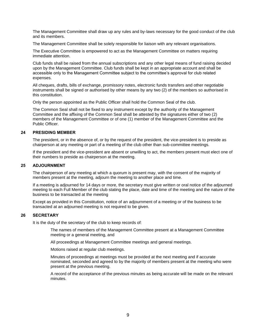The Management Committee shall draw up any rules and by-laws necessary for the good conduct of the club and its members.

The Management Committee shall be solely responsible for liaison with any relevant organisations.

The Executive Committee is empowered to act as the Management Committee on matters requiring immediate attention.

Club funds shall be raised from the annual subscriptions and any other legal means of fund raising decided upon by the Management Committee. Club funds shall be kept in an appropriate account and shall be accessible only to the Management Committee subject to the committee's approval for club related expenses.

All cheques, drafts, bills of exchange, promissory notes, electronic funds transfers and other negotiable instruments shall be signed or authorised by other means by any two (2) of the members so authorised in this constitution.

Only the person appointed as the Public Officer shall hold the Common Seal of the club.

The Common Seal shall not be fixed to any instrument except by the authority of the Management Committee and the affixing of the Common Seal shall be attested by the signatures either of two (2) members of the Management Committee or of one (1) member of the Management Committee and the Public Officer.

## <span id="page-10-0"></span>**24 PRESIDING MEMBER**

The president, or in the absence of, or by the request of the president, the vice-president is to preside as chairperson at any meeting or part of a meeting of the club other than sub-committee meetings.

If the president and the vice-president are absent or unwilling to act, the members present must elect one of their numbers to preside as chairperson at the meeting.

#### <span id="page-10-1"></span>**25 ADJOURNMENT**

The chairperson of any meeting at which a quorum is present may, with the consent of the majority of members present at the meeting, adjourn the meeting to another place and time.

If a meeting is adjourned for 14 days or more, the secretary must give written or oral notice of the adjourned meeting to each Full Member of the club stating the place, date and time of the meeting and the nature of the business to be transacted at the meeting

Except as provided in this Constitution, notice of an adjournment of a meeting or of the business to be transacted at an adjourned meeting is not required to be given.

# <span id="page-10-2"></span>**26 SECRETARY**

It is the duty of the secretary of the club to keep records of:

The names of members of the Management Committee present at a Management Committee meeting or a general meeting, and

All proceedings at Management Committee meetings and general meetings.

Motions raised at regular club meetings.

Minutes of proceedings at meetings must be provided at the next meeting and if accurate nominated, seconded and agreed to by the majority of members present at the meeting who were present at the previous meeting.

A record of the acceptance of the previous minutes as being accurate will be made on the relevant minutes.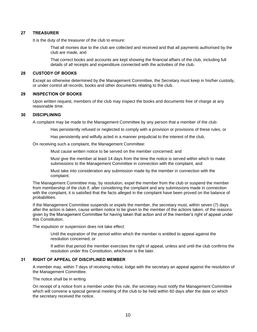### <span id="page-11-0"></span>**27 TREASURER**

It is the duty of the treasurer of the club to ensure:

That all monies due to the club are collected and received and that all payments authorised by the club are made, and

That correct books and accounts are kept showing the financial affairs of the club, including full details of all receipts and expenditure connected with the activities of the club.

#### <span id="page-11-1"></span>**28 CUSTODY OF BOOKS**

Except as otherwise determined by the Management Committee, the Secretary must keep in his/her custody, or under control all records, books and other documents relating to the club.

#### <span id="page-11-2"></span>**29 INSPECTION OF BOOKS**

Upon written request, members of the club may inspect the books and documents free of charge at any reasonable time.

#### <span id="page-11-3"></span>**30 DISCIPLINING**

A complaint may be made to the Management Committee by any person that a member of the club:

Has persistently refused or neglected to comply with a provision or provisions of these rules, or

Has persistently and wilfully acted in a manner prejudicial to the interest of the club.

On receiving such a complaint, the Management Committee:

Must cause written notice to be served on the member concerned; and

Must give the member at least 14 days from the time the notice is served within which to make submissions to the Management Committee in connection with the complaint, and

Must take into consideration any submission made by the member in connection with the complaint.

The Management Committee may, by resolution, expel the member from the club or suspend the member from membership of the club if, after considering the complaint and any submissions made in connection with the complaint, it is satisfied that the facts alleged in the complaint have been proved on the balance of probabilities.

If the Management Committee suspends or expels the member, the secretary must, within seven (7) days after the action is taken, cause written notice to be given to the member of the actions taken, of the reasons given by the Management Committee for having taken that action and of the member's right of appeal under this Constitution.

The expulsion or suspension does not take effect:

Until the expiration of the period within which the member is entitled to appeal against the resolution concerned, or

If within that period the member exercises the right of appeal, unless and until the club confirms the resolution under this Constitution, whichever is the later.

### <span id="page-11-4"></span>**31 RIGHT OF APPEAL OF DISCIPLINED MEMBER**

A member may, within 7 days of receiving notice, lodge with the secretary an appeal against the resolution of the Management Committee.

The notice shall be in writing

On receipt of a notice from a member under this rule, the secretary must notify the Management Committee which will convene a special general meeting of the club to be held within 60 days after the date on which the secretary received the notice.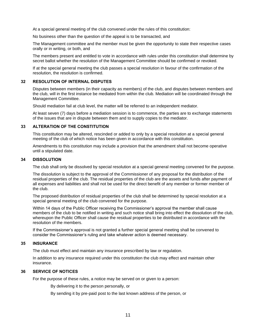At a special general meeting of the club convened under the rules of this constitution:

No business other than the question of the appeal is to be transacted, and

The Management committee and the member must be given the opportunity to state their respective cases orally or in writing, or both, and

The members present and entitled to vote in accordance with rules under this constitution shall determine by secret ballot whether the resolution of the Management Committee should be confirmed or revoked.

If at the special general meeting the club passes a special resolution in favour of the confirmation of the resolution, the resolution is confirmed.

#### <span id="page-12-0"></span>**32 RESOLUTION OF INTERNAL DISPUTES**

Disputes between members (in their capacity as members) of the club, and disputes between members and the club, will in the first instance be mediated from within the club. Mediation will be coordinated through the Management Committee.

Should mediation fail at club level, the matter will be referred to an independent mediator.

At least seven (7) days before a mediation session is to commence, the parties are to exchange statements of the issues that are in dispute between them and to supply copies to the mediator.

### <span id="page-12-1"></span>**33 ALTERATION OF THE CONSTITUTION**

This constitution may be altered, rescinded or added to only by a special resolution at a special general meeting of the club of which notice has been given in accordance with this constitution.

Amendments to this constitution may include a provision that the amendment shall not become operative until a stipulated date.

#### <span id="page-12-2"></span>**34 DISSOLUTION**

The club shall only be dissolved by special resolution at a special general meeting convened for the purpose.

The dissolution is subject to the approval of the Commissioner of any proposal for the distribution of the residual properties of the club. The residual properties of the club are the assets and funds after payment of all expenses and liabilities and shall not be used for the direct benefit of any member or former member of the club.

The proposed distribution of residual properties of the club shall be determined by special resolution at a special general meeting of the club convened for the purpose.

Within 14 days of the Public Officer receiving the Commissioner's approval the member shall cause members of the club to be notified in writing and such notice shall bring into effect the dissolution of the club, whereupon the Public Officer shall cause the residual properties to be distributed in accordance with the resolution of the members.

If the Commissioner's approval is not granted a further special general meeting shall be convened to consider the Commissioner's ruling and take whatever action is deemed necessary.

#### <span id="page-12-3"></span>**35 INSURANCE**

The club must effect and maintain any insurance prescribed by law or regulation.

In addition to any insurance required under this constitution the club may effect and maintain other insurance.

#### <span id="page-12-4"></span>**36 SERVICE OF NOTICES**

For the purpose of these rules, a notice may be served on or given to a person:

By delivering it to the person personally, or

By sending it by pre-paid post to the last known address of the person, or